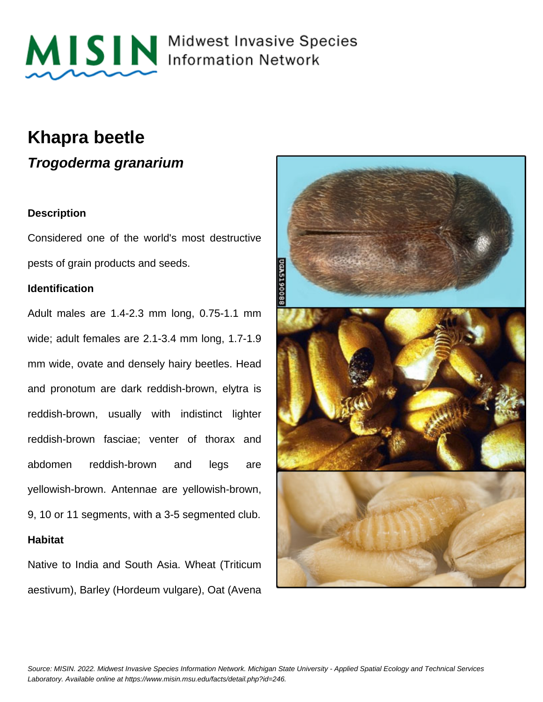

MISIN Midwest Invasive Species

## **Khapra beetle**

**Trogoderma granarium**

### **Description**

Considered one of the world's most destructive pests of grain products and seeds.

### **Identification**

Adult males are 1.4-2.3 mm long, 0.75-1.1 mm wide; adult females are 2.1-3.4 mm long, 1.7-1.9 mm wide, ovate and densely hairy beetles. Head and pronotum are dark reddish-brown, elytra is reddish-brown, usually with indistinct lighter reddish-brown fasciae; venter of thorax and abdomen reddish-brown and legs are yellowish-brown. Antennae are yellowish-brown, 9, 10 or 11 segments, with a 3-5 segmented club. **Habitat**

Native to India and South Asia. Wheat (Triticum aestivum), Barley (Hordeum vulgare), Oat (Avena

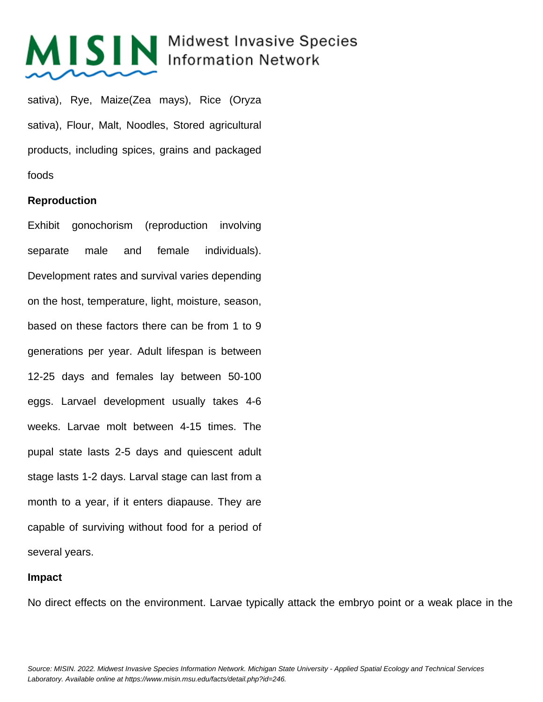# MISIN Midwest Invasive Species

sativa), Rye, Maize(Zea mays), Rice (Oryza sativa), Flour, Malt, Noodles, Stored agricultural products, including spices, grains and packaged foods

### **Reproduction**

Exhibit gonochorism (reproduction involving separate male and female individuals). Development rates and survival varies depending on the host, temperature, light, moisture, season, based on these factors there can be from 1 to 9 generations per year. Adult lifespan is between 12-25 days and females lay between 50-100 eggs. Larvael development usually takes 4-6 weeks. Larvae molt between 4-15 times. The pupal state lasts 2-5 days and quiescent adult stage lasts 1-2 days. Larval stage can last from a month to a year, if it enters diapause. They are capable of surviving without food for a period of several years.

#### **Impact**

No direct effects on the environment. Larvae typically attack the embryo point or a weak place in the